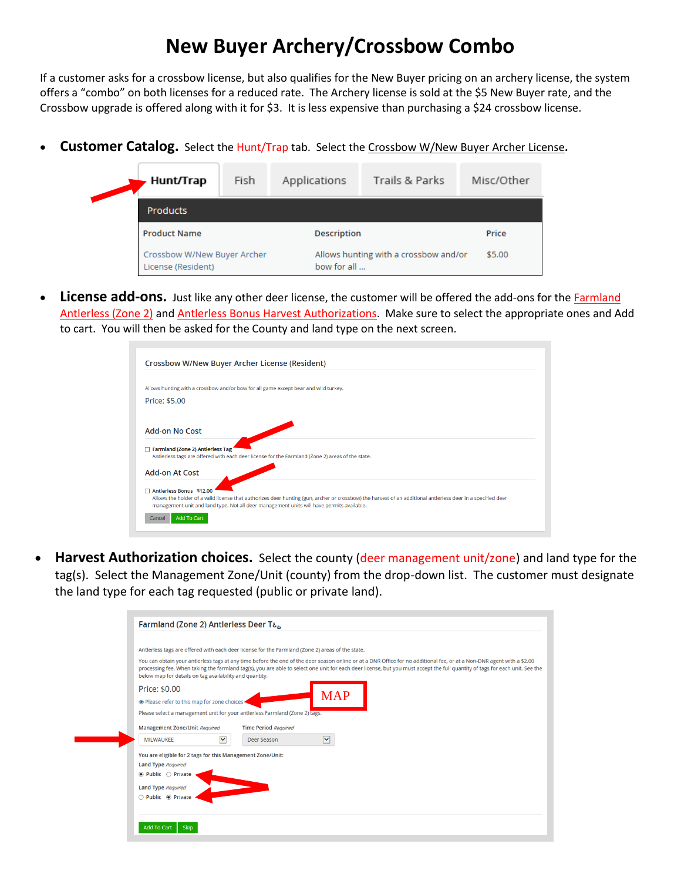## **New Buyer Archery/Crossbow Combo**

If a customer asks for a crossbow license, but also qualifies for the New Buyer pricing on an archery license, the system offers a "combo" on both licenses for a reduced rate. The Archery license is sold at the \$5 New Buyer rate, and the Crossbow upgrade is offered along with it for \$3. It is less expensive than purchasing a \$24 crossbow license.

• **Customer Catalog.** Select the Hunt/Trap tab. Select the Crossbow W/New Buyer Archer License**.**

| Hunt/Trap                                         | Fish | Applications                                         | Trails & Parks | Misc/Other |
|---------------------------------------------------|------|------------------------------------------------------|----------------|------------|
| <b>Products</b>                                   |      |                                                      |                |            |
| <b>Product Name</b>                               |      | <b>Description</b>                                   | Price          |            |
| Crossbow W/New Buyer Archer<br>License (Resident) |      | Allows hunting with a crossbow and/or<br>bow for all | \$5.00         |            |

• License add-ons. Just like any other deer license, the customer will be offered the add-ons for the **Farmland** Antlerless (Zone 2) and Antlerless Bonus Harvest Authorizations. Make sure to select the appropriate ones and Add to cart. You will then be asked for the County and land type on the next screen.

| Crossbow W/New Buyer Archer License (Resident)                                                                                                                                                                                                                                                                 |
|----------------------------------------------------------------------------------------------------------------------------------------------------------------------------------------------------------------------------------------------------------------------------------------------------------------|
| Allows hunting with a crossbow and/or bow for all game except bear and wild turkey.                                                                                                                                                                                                                            |
| Price: \$5.00                                                                                                                                                                                                                                                                                                  |
| Add-on No Cost                                                                                                                                                                                                                                                                                                 |
| <b>Farmland (Zone 2) Antierless Tag</b><br>Antierless tags are offered with each deer license for the Farmland (Zone 2) areas of the state.                                                                                                                                                                    |
| <b>Add-on At Cost</b>                                                                                                                                                                                                                                                                                          |
| Antierless Bonus \$12.00<br>Allows the holder of a valid license that authorizes deer hunting (gun, archer or crossbow) the harvest of an additional antlerless deer in a specified deer<br>management unit and land type. Not all deer management units will have permits available.<br>Add To Cart<br>Cancel |

• **Harvest Authorization choices.** Select the county (deer management unit/zone) and land type for the tag(s). Select the Management Zone/Unit (county) from the drop-down list. The customer must designate the land type for each tag requested (public or private land).

|                                  | Antierless tags are offered with each deer license for the Farmland (Zone 2) areas of the state.                                                                                                                                                                                                                                                                                                                  |
|----------------------------------|-------------------------------------------------------------------------------------------------------------------------------------------------------------------------------------------------------------------------------------------------------------------------------------------------------------------------------------------------------------------------------------------------------------------|
|                                  | You can obtain your antlerless tags at any time before the end of the deer season online or at a DNR Office for no additional fee, or at a Non-DNR agent with a \$2.00<br>processing fee. When taking the farmland tag(s), you are able to select one unit for each deer license, but you must accept the full quantity of tags for each unit. See the<br>below map for details on tag availability and quantity. |
| Price: \$0.00                    |                                                                                                                                                                                                                                                                                                                                                                                                                   |
|                                  | <b>MAP</b><br>• Please refer to this map for zone choices                                                                                                                                                                                                                                                                                                                                                         |
|                                  | Please select a management unit for your antierless Farmland (Zone 2) tags.                                                                                                                                                                                                                                                                                                                                       |
|                                  | <b>Management Zone/Unit Required</b><br><b>Time Period Required</b>                                                                                                                                                                                                                                                                                                                                               |
| <b>MILWAUKEE</b>                 | $\checkmark$<br>$\blacktriangledown$<br>Deer Season                                                                                                                                                                                                                                                                                                                                                               |
|                                  | You are eligible for 2 tags for this Management Zone/Unit:                                                                                                                                                                                                                                                                                                                                                        |
| Land Type Required               |                                                                                                                                                                                                                                                                                                                                                                                                                   |
| $\bullet$ Public $\circ$ Private |                                                                                                                                                                                                                                                                                                                                                                                                                   |
| <b>Land Type Required</b>        |                                                                                                                                                                                                                                                                                                                                                                                                                   |
| ◯ Public ◉ Private               |                                                                                                                                                                                                                                                                                                                                                                                                                   |
|                                  |                                                                                                                                                                                                                                                                                                                                                                                                                   |